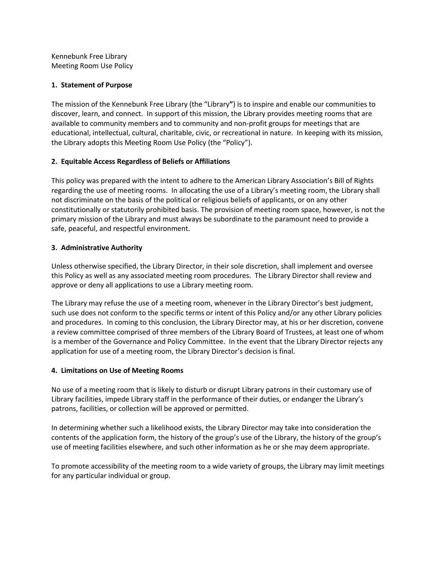Kennebunk Free Library Meeting Room Use Policy

### **1. Statement of Purpose**

The mission of the Kennebunk Free Library (the "Library**"**) is to inspire and enable our communities to discover, learn, and connect. In support of this mission, the Library provides meeting rooms that are available to community members and to community and non-profit groups for meetings that are educational, intellectual, cultural, charitable, civic, or recreational in nature. In keeping with its mission, the Library adopts this Meeting Room Use Policy (the "Policy").

# **2. Equitable Access Regardless of Beliefs or Affiliations**

This policy was prepared with the intent to adhere to the American Library Association's Bill of Rights regarding the use of meeting rooms. In allocating the use of a Library's meeting room, the Library shall not discriminate on the basis of the political or religious beliefs of applicants, or on any other constitutionally or statutorily prohibited basis. The provision of meeting room space, however, is not the primary mission of the Library and must always be subordinate to the paramount need to provide a safe, peaceful, and respectful environment.

## **3. Administrative Authority**

Unless otherwise specified, the Library Director, in their sole discretion, shall implement and oversee this Policy as well as any associated meeting room procedures. The Library Director shall review and approve or deny all applications to use a Library meeting room.

The Library may refuse the use of a meeting room, whenever in the Library Director's best judgment, such use does not conform to the specific terms or intent of this Policy and/or any other Library policies and procedures. In coming to this conclusion, the Library Director may, at his or her discretion, convene a review committee comprised of three members of the Library Board of Trustees, at least one of whom is a member of the Governance and Policy Committee. In the event that the Library Director rejects any application for use of a meeting room, the Library Director's decision is final.

### **4. Limitations on Use of Meeting Rooms**

No use of a meeting room that is likely to disturb or disrupt Library patrons in their customary use of Library facilities, impede Library staff in the performance of their duties, or endanger the Library's patrons, facilities, or collection will be approved or permitted.

In determining whether such a likelihood exists, the Library Director may take into consideration the contents of the application form, the history of the group's use of the Library, the history of the group's use of meeting facilities elsewhere, and such other information as he or she may deem appropriate.

To promote accessibility of the meeting room to a wide variety of groups, the Library may limit meetings for any particular individual or group.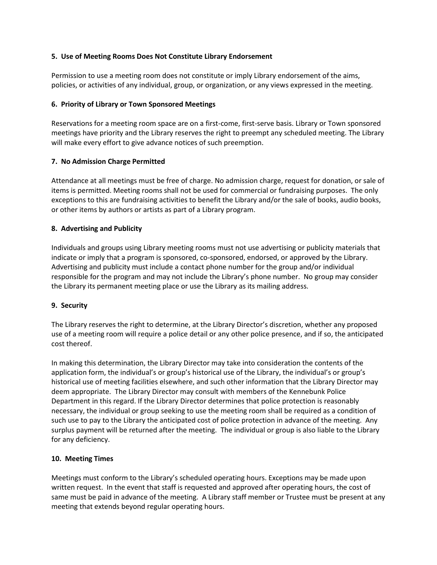## **5. Use of Meeting Rooms Does Not Constitute Library Endorsement**

Permission to use a meeting room does not constitute or imply Library endorsement of the aims, policies, or activities of any individual, group, or organization, or any views expressed in the meeting.

## **6. Priority of Library or Town Sponsored Meetings**

Reservations for a meeting room space are on a first-come, first-serve basis. Library or Town sponsored meetings have priority and the Library reserves the right to preempt any scheduled meeting. The Library will make every effort to give advance notices of such preemption.

## **7. No Admission Charge Permitted**

Attendance at all meetings must be free of charge. No admission charge, request for donation, or sale of items is permitted. Meeting rooms shall not be used for commercial or fundraising purposes. The only exceptions to this are fundraising activities to benefit the Library and/or the sale of books, audio books, or other items by authors or artists as part of a Library program.

## **8. Advertising and Publicity**

Individuals and groups using Library meeting rooms must not use advertising or publicity materials that indicate or imply that a program is sponsored, co-sponsored, endorsed, or approved by the Library. Advertising and publicity must include a contact phone number for the group and/or individual responsible for the program and may not include the Library's phone number. No group may consider the Library its permanent meeting place or use the Library as its mailing address.

### **9. Security**

The Library reserves the right to determine, at the Library Director's discretion, whether any proposed use of a meeting room will require a police detail or any other police presence, and if so, the anticipated cost thereof.

In making this determination, the Library Director may take into consideration the contents of the application form, the individual's or group's historical use of the Library, the individual's or group's historical use of meeting facilities elsewhere, and such other information that the Library Director may deem appropriate. The Library Director may consult with members of the Kennebunk Police Department in this regard. If the Library Director determines that police protection is reasonably necessary, the individual or group seeking to use the meeting room shall be required as a condition of such use to pay to the Library the anticipated cost of police protection in advance of the meeting. Any surplus payment will be returned after the meeting. The individual or group is also liable to the Library for any deficiency.

### **10. Meeting Times**

Meetings must conform to the Library's scheduled operating hours. Exceptions may be made upon written request. In the event that staff is requested and approved after operating hours, the cost of same must be paid in advance of the meeting. A Library staff member or Trustee must be present at any meeting that extends beyond regular operating hours.